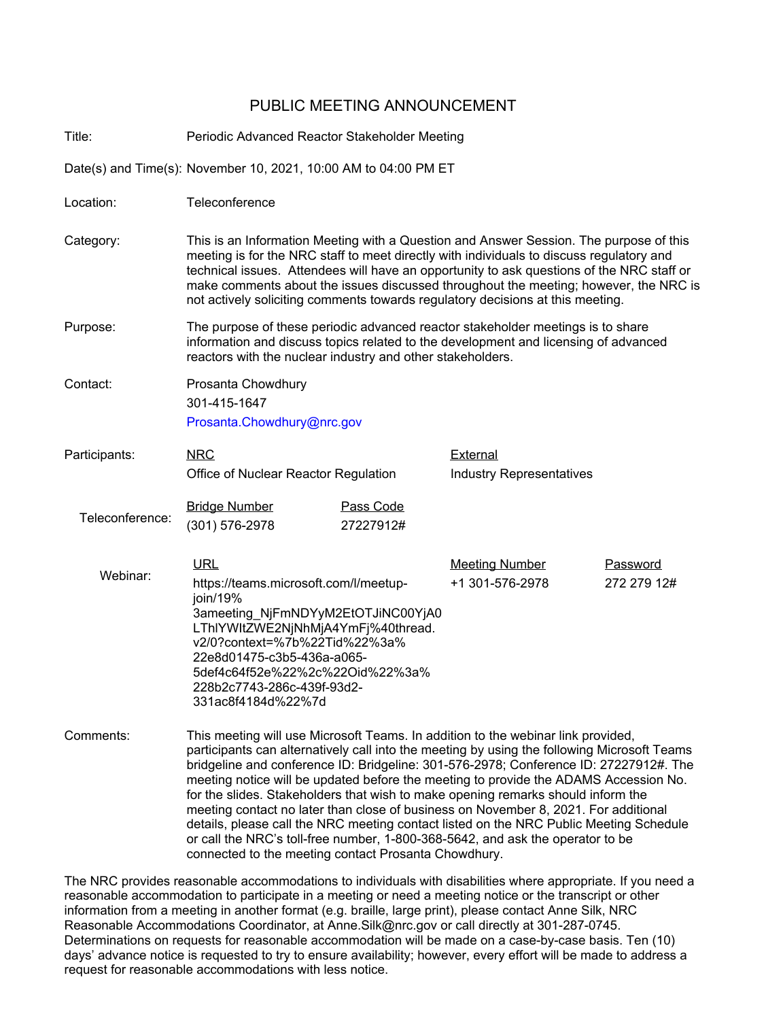## PUBLIC MEETING ANNOUNCEMENT

Title: Periodic Advanced Reactor Stakeholder Meeting

Date(s) and Time(s): November 10, 2021, 10:00 AM to 04:00 PM ET

Location: Teleconference Category: This is an Information Meeting with a Question and Answer Session. The purpose of this meeting is for the NRC staff to meet directly with individuals to discuss regulatory and technical issues. Attendees will have an opportunity to ask questions of the NRC staff or make comments about the issues discussed throughout the meeting; however, the NRC is not actively soliciting comments towards regulatory decisions at this meeting. Purpose: The purpose of these periodic advanced reactor stakeholder meetings is to share information and discuss topics related to the development and licensing of advanced reactors with the nuclear industry and other stakeholders. Contact: Prosanta Chowdhury 301-415-1647 Prosanta.Chowdhury@nrc.gov NRC Office of Nuclear Reactor Regulation Participants: NRC NRC External Industry Representatives Teleconference: **Bridge Number Pass Code** (301) 576-2978 27227912# Webinar: URL Meeting Number Password [https://teams.microsoft.com/l/meetup](https://teams.microsoft.com/l/meetup-join/19%3ameeting_NjFmNDYyM2EtOTJiNC00YjA0LThlYWItZWE2NjNhMjA4YmFj%40thread.v2/0?context=%7b%22Tid%22%3a%22e8d01475-c3b5-436a-a065-5def4c64f52e%22%2c%22Oid%22%3a%228b2c7743-286c-439f-93d2-331ac8f4184d%22%7d)[join/19%](https://teams.microsoft.com/l/meetup-join/19%3ameeting_NjFmNDYyM2EtOTJiNC00YjA0LThlYWItZWE2NjNhMjA4YmFj%40thread.v2/0?context=%7b%22Tid%22%3a%22e8d01475-c3b5-436a-a065-5def4c64f52e%22%2c%22Oid%22%3a%228b2c7743-286c-439f-93d2-331ac8f4184d%22%7d) [3ameeting\\_NjFmNDYyM2EtOTJiNC00YjA0](https://teams.microsoft.com/l/meetup-join/19%3ameeting_NjFmNDYyM2EtOTJiNC00YjA0LThlYWItZWE2NjNhMjA4YmFj%40thread.v2/0?context=%7b%22Tid%22%3a%22e8d01475-c3b5-436a-a065-5def4c64f52e%22%2c%22Oid%22%3a%228b2c7743-286c-439f-93d2-331ac8f4184d%22%7d) [LThlYWItZWE2NjNhMjA4YmFj%40thread.](https://teams.microsoft.com/l/meetup-join/19%3ameeting_NjFmNDYyM2EtOTJiNC00YjA0LThlYWItZWE2NjNhMjA4YmFj%40thread.v2/0?context=%7b%22Tid%22%3a%22e8d01475-c3b5-436a-a065-5def4c64f52e%22%2c%22Oid%22%3a%228b2c7743-286c-439f-93d2-331ac8f4184d%22%7d) [v2/0?context=%7b%22Tid%22%3a%](https://teams.microsoft.com/l/meetup-join/19%3ameeting_NjFmNDYyM2EtOTJiNC00YjA0LThlYWItZWE2NjNhMjA4YmFj%40thread.v2/0?context=%7b%22Tid%22%3a%22e8d01475-c3b5-436a-a065-5def4c64f52e%22%2c%22Oid%22%3a%228b2c7743-286c-439f-93d2-331ac8f4184d%22%7d) [22e8d01475-c3b5-436a-a065-](https://teams.microsoft.com/l/meetup-join/19%3ameeting_NjFmNDYyM2EtOTJiNC00YjA0LThlYWItZWE2NjNhMjA4YmFj%40thread.v2/0?context=%7b%22Tid%22%3a%22e8d01475-c3b5-436a-a065-5def4c64f52e%22%2c%22Oid%22%3a%228b2c7743-286c-439f-93d2-331ac8f4184d%22%7d) [5def4c64f52e%22%2c%22Oid%22%3a%](https://teams.microsoft.com/l/meetup-join/19%3ameeting_NjFmNDYyM2EtOTJiNC00YjA0LThlYWItZWE2NjNhMjA4YmFj%40thread.v2/0?context=%7b%22Tid%22%3a%22e8d01475-c3b5-436a-a065-5def4c64f52e%22%2c%22Oid%22%3a%228b2c7743-286c-439f-93d2-331ac8f4184d%22%7d) [228b2c7743-286c-439f-93d2-](https://teams.microsoft.com/l/meetup-join/19%3ameeting_NjFmNDYyM2EtOTJiNC00YjA0LThlYWItZWE2NjNhMjA4YmFj%40thread.v2/0?context=%7b%22Tid%22%3a%22e8d01475-c3b5-436a-a065-5def4c64f52e%22%2c%22Oid%22%3a%228b2c7743-286c-439f-93d2-331ac8f4184d%22%7d) [331ac8f4184d%22%7d](https://teams.microsoft.com/l/meetup-join/19%3ameeting_NjFmNDYyM2EtOTJiNC00YjA0LThlYWItZWE2NjNhMjA4YmFj%40thread.v2/0?context=%7b%22Tid%22%3a%22e8d01475-c3b5-436a-a065-5def4c64f52e%22%2c%22Oid%22%3a%228b2c7743-286c-439f-93d2-331ac8f4184d%22%7d) +1 301-576-2978 272 279 12# Comments: This meeting will use Microsoft Teams. In addition to the webinar link provided, participants can alternatively call into the meeting by using the following Microsoft Teams bridgeline and conference ID: Bridgeline: 301-576-2978; Conference ID: 27227912#. The meeting notice will be updated before the meeting to provide the ADAMS Accession No. for the slides. Stakeholders that wish to make opening remarks should inform the meeting contact no later than close of business on November 8, 2021. For additional

The NRC provides reasonable accommodations to individuals with disabilities where appropriate. If you need a reasonable accommodation to participate in a meeting or need a meeting notice or the transcript or other information from a meeting in another format (e.g. braille, large print), please contact Anne Silk, NRC Reasonable Accommodations Coordinator, at Anne.Silk@nrc.gov or call directly at 301-287-0745. Determinations on requests for reasonable accommodation will be made on a case-by-case basis. Ten (10) days' advance notice is requested to try to ensure availability; however, every effort will be made to address a request for reasonable accommodations with less notice.

connected to the meeting contact Prosanta Chowdhury.

details, please call the NRC meeting contact listed on the NRC Public Meeting Schedule

or call the NRC's toll-free number, 1-800-368-5642, and ask the operator to be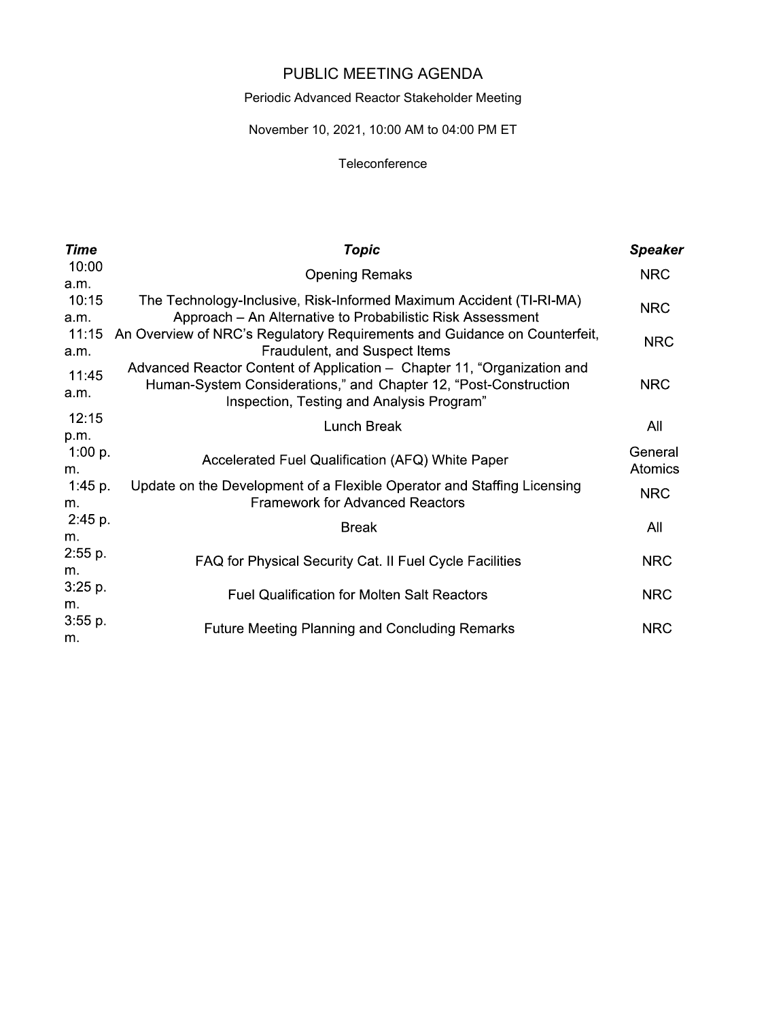# PUBLIC MEETING AGENDA

## Periodic Advanced Reactor Stakeholder Meeting

## November 10, 2021, 10:00 AM to 04:00 PM ET

#### **Teleconference**

| <b>Time</b>           | <b>Topic</b>                                                                                                                                                                             | <b>Speaker</b>     |
|-----------------------|------------------------------------------------------------------------------------------------------------------------------------------------------------------------------------------|--------------------|
| 10:00                 | <b>Opening Remaks</b>                                                                                                                                                                    | <b>NRC</b>         |
| a.m.<br>10:15         | The Technology-Inclusive, Risk-Informed Maximum Accident (TI-RI-MA)                                                                                                                      | <b>NRC</b>         |
| a.m.<br>11:15<br>a.m. | Approach – An Alternative to Probabilistic Risk Assessment<br>An Overview of NRC's Regulatory Requirements and Guidance on Counterfeit,<br>Fraudulent, and Suspect Items                 | <b>NRC</b>         |
| 11:45<br>a.m.         | Advanced Reactor Content of Application – Chapter 11, "Organization and<br>Human-System Considerations," and Chapter 12, "Post-Construction<br>Inspection, Testing and Analysis Program" | <b>NRC</b>         |
| 12:15                 | <b>Lunch Break</b>                                                                                                                                                                       | All                |
| p.m.<br>1:00 p.<br>m. | Accelerated Fuel Qualification (AFQ) White Paper                                                                                                                                         | General<br>Atomics |
| 1:45 $p.$<br>m.       | Update on the Development of a Flexible Operator and Staffing Licensing<br><b>Framework for Advanced Reactors</b>                                                                        | <b>NRC</b>         |
| 2.45 p.<br>m.         | <b>Break</b>                                                                                                                                                                             | All                |
| 2:55 p.<br>m.         | FAQ for Physical Security Cat. II Fuel Cycle Facilities                                                                                                                                  | <b>NRC</b>         |
| 3:25 p.<br>m.         | <b>Fuel Qualification for Molten Salt Reactors</b>                                                                                                                                       | <b>NRC</b>         |
| 3:55 p.<br>m.         | <b>Future Meeting Planning and Concluding Remarks</b>                                                                                                                                    | <b>NRC</b>         |